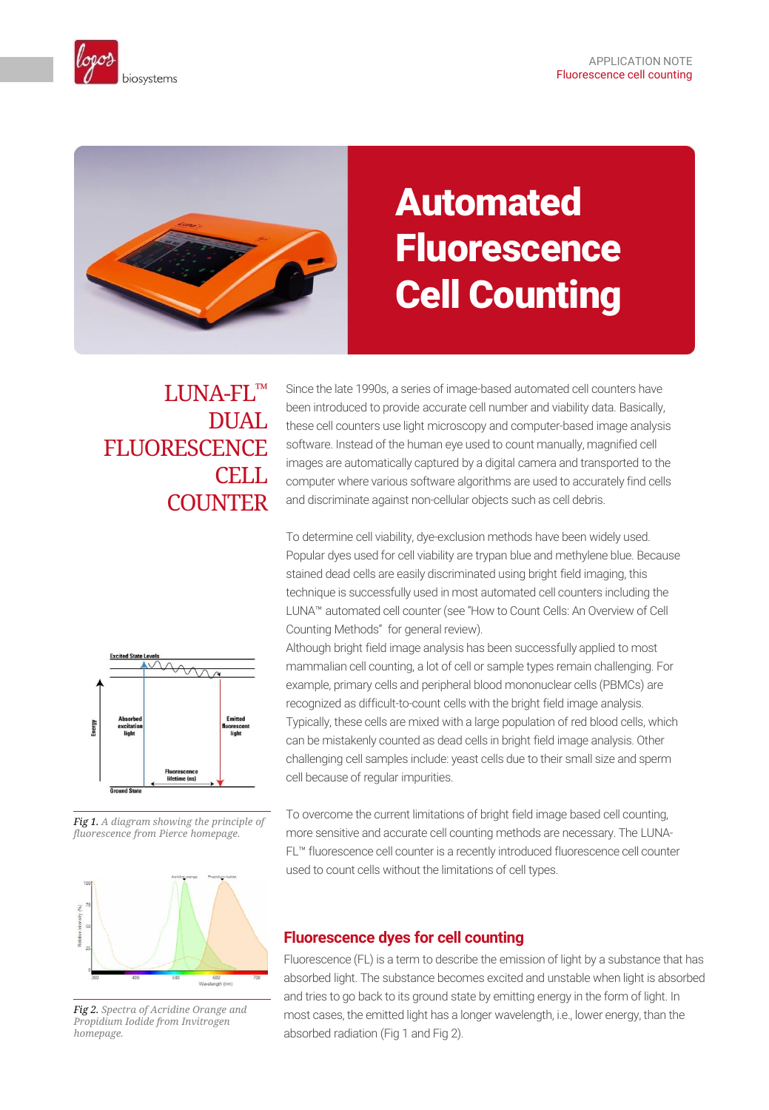



# Automated **Fluorescence** Cell Counting

# LUNA-FL™ DUAL **FLUORESCENCE** CELL. **COUNTER**

Since the late 1990s, a series of image-based automated cell counters have been introduced to provide accurate cell number and viability data. Basically, these cell counters use light microscopy and computer-based image analysis software. Instead of the human eye used to count manually, magnified cell images are automatically captured by a digital camera and transported to the computer where various software algorithms are used to accurately find cells and discriminate against non-cellular objects such as cell debris.

To determine cell viability, dye-exclusion methods have been widely used. Popular dyes used for cell viability are trypan blue and methylene blue. Because stained dead cells are easily discriminated using bright field imaging, this technique is successfully used in most automated cell counters including the LUNA™ automated cell counter (see "How to Count Cells: An Overview of Cell Counting Methods" for general review).



*Fig 1. A diagram showing the principle of fluorescence from Pierce homepage.* 



*Fig 2. Spectra of Acridine Orange and Propidium Iodide from Invitrogen homepage.*

Although bright field image analysis has been successfully applied to most mammalian cell counting, a lot of cell or sample types remain challenging. For example, primary cells and peripheral blood mononuclear cells (PBMCs) are recognized as difficult-to-count cells with the bright field image analysis. Typically, these cells are mixed with a large population of red blood cells, which can be mistakenly counted as dead cells in bright field image analysis. Other challenging cell samples include: yeast cells due to their small size and sperm cell because of regular impurities.

To overcome the current limitations of bright field image based cell counting, more sensitive and accurate cell counting methods are necessary. The LUNA-FL™ fluorescence cell counter is a recently introduced fluorescence cell counter used to count cells without the limitations of cell types.

# **Fluorescence dyes for cell counting**

Fluorescence (FL) is a term to describe the emission of light by a substance that has absorbed light. The substance becomes excited and unstable when light is absorbed and tries to go back to its ground state by emitting energy in the form of light. In most cases, the emitted light has a longer wavelength, i.e., lower energy, than the absorbed radiation (Fig 1 and Fig 2).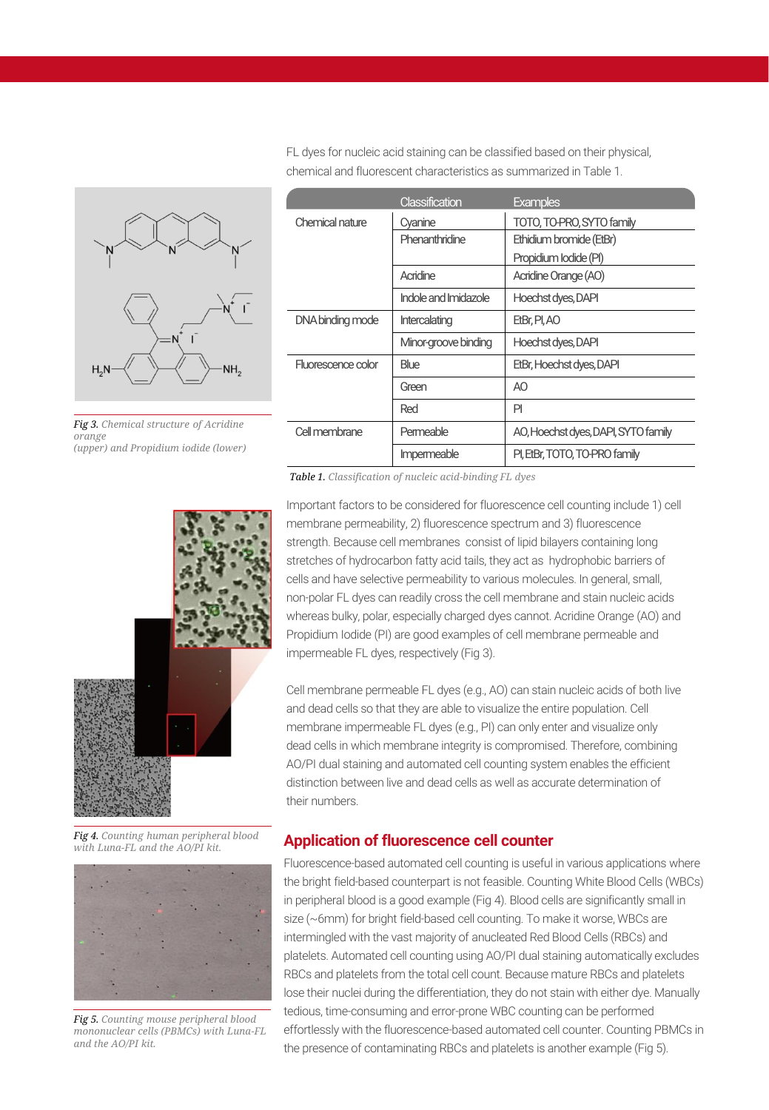

*Fig 3. Chemical structure of Acridine orange (upper) and Propidium iodide (lower)*

|                    | Classification       | <b>Examples</b>                     |
|--------------------|----------------------|-------------------------------------|
| Chemical nature    | Cvanine              | TOTO, TO-PRO, SYTO family           |
|                    | Phenanthridine       | Ethidium bromide (EtBr)             |
|                    |                      | Propidium lodide (PI)               |
|                    | Acridine             | Acridine Orange (AO)                |
|                    | Indole and Imidazole | Hoechst dyes, DAPI                  |
| DNA binding mode   | Intercalating        | EtBr, PI, AO                        |
|                    | Minor-groove binding | Hoechst dyes, DAPI                  |
| Fluorescence color | Blue                 | EtBr, Hoechst dyes, DAPI            |
|                    | Green                | AO.                                 |
|                    | Red                  | PI                                  |
| Cell membrane      | Permeable            | AO, Hoechst dyes, DAPI, SYTO family |
|                    | Impermeable          | PI, EtBr, TOTO, TO-PRO family       |

FL dyes for nucleic acid staining can be classified based on their physical, chemical and fluorescent characteristics as summarized in Table 1.

*Table 1. Classification of nucleic acid-binding FL dyes*

Important factors to be considered for fluorescence cell counting include 1) cell membrane permeability, 2) fluorescence spectrum and 3) fluorescence strength. Because cell membranes consist of lipid bilayers containing long stretches of hydrocarbon fatty acid tails, they act as hydrophobic barriers of cells and have selective permeability to various molecules. In general, small, non-polar FL dyes can readily cross the cell membrane and stain nucleic acids whereas bulky, polar, especially charged dyes cannot. Acridine Orange (AO) and Propidium Iodide (PI) are good examples of cell membrane permeable and impermeable FL dyes, respectively (Fig 3).

Cell membrane permeable FL dyes (e.g., AO) can stain nucleic acids of both live and dead cells so that they are able to visualize the entire population. Cell membrane impermeable FL dyes (e.g., PI) can only enter and visualize only dead cells in which membrane integrity is compromised. Therefore, combining AO/PI dual staining and automated cell counting system enables the efficient distinction between live and dead cells as well as accurate determination of their numbers.

#### **Application of fluorescence cell counter**

Fluorescence-based automated cell counting is useful in various applications where the bright field-based counterpart is not feasible. Counting White Blood Cells (WBCs) in peripheral blood is a good example (Fig 4). Blood cells are significantly small in size (~6mm) for bright field-based cell counting. To make it worse, WBCs are intermingled with the vast majority of anucleated Red Blood Cells (RBCs) and platelets. Automated cell counting using AO/PI dual staining automatically excludes RBCs and platelets from the total cell count. Because mature RBCs and platelets lose their nuclei during the differentiation, they do not stain with either dye. Manually tedious, time-consuming and error-prone WBC counting can be performed effortlessly with the fluorescence-based automated cell counter. Counting PBMCs in the presence of contaminating RBCs and platelets is another example (Fig 5).



*Fig 4. Counting human peripheral blood with Luna-FL and the AO/PI kit.*



*Fig 5. Counting mouse peripheral blood mononuclear cells (PBMCs) with Luna-FL and the AO/PI kit.*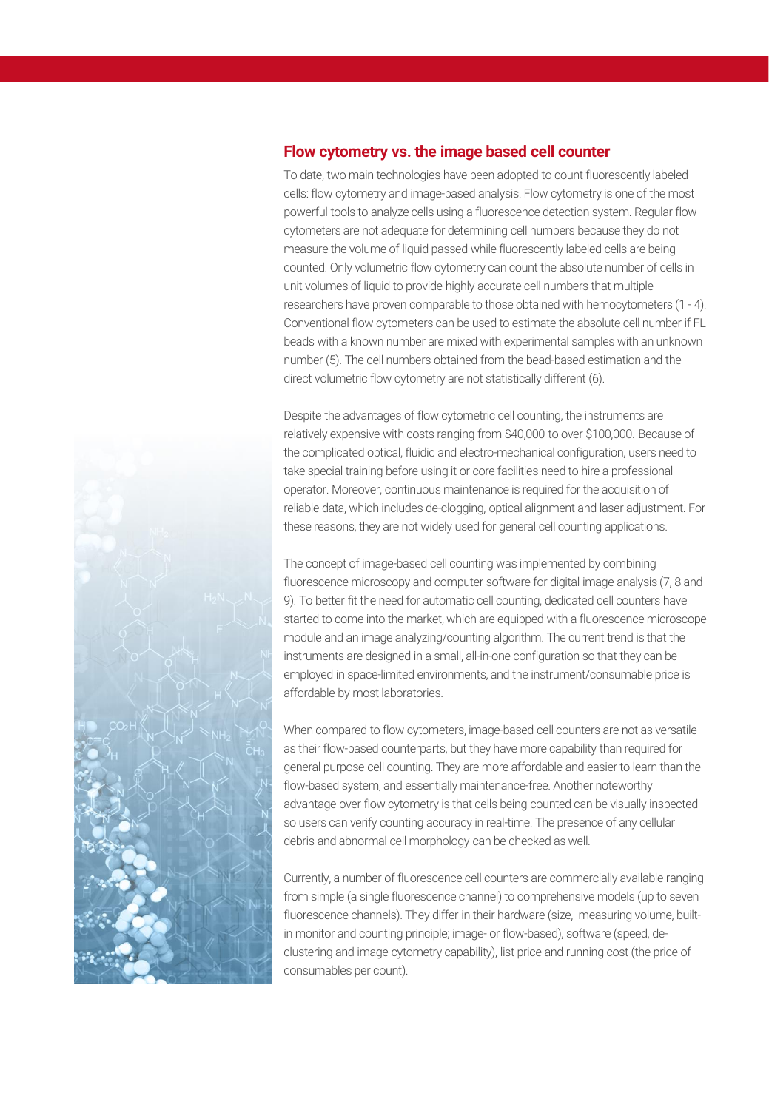## **Flow cytometry vs. the image based cell counter**

To date, two main technologies have been adopted to count fluorescently labeled cells: flow cytometry and image-based analysis. Flow cytometry is one of the most powerful tools to analyze cells using a fluorescence detection system. Regular flow cytometers are not adequate for determining cell numbers because they do not measure the volume of liquid passed while fluorescently labeled cells are being counted. Only volumetric flow cytometry can count the absolute number of cells in unit volumes of liquid to provide highly accurate cell numbers that multiple researchers have proven comparable to those obtained with hemocytometers (1 - 4). Conventional flow cytometers can be used to estimate the absolute cell number if FL beads with a known number are mixed with experimental samples with an unknown number (5). The cell numbers obtained from the bead-based estimation and the direct volumetric flow cytometry are not statistically different (6).

Despite the advantages of flow cytometric cell counting, the instruments are relatively expensive with costs ranging from \$40,000 to over \$100,000. Because of the complicated optical, fluidic and electro-mechanical configuration, users need to take special training before using it or core facilities need to hire a professional operator. Moreover, continuous maintenance is required for the acquisition of reliable data, which includes de-clogging, optical alignment and laser adjustment. For these reasons, they are not widely used for general cell counting applications.

The concept of image-based cell counting was implemented by combining fluorescence microscopy and computer software for digital image analysis (7, 8 and 9). To better fit the need for automatic cell counting, dedicated cell counters have started to come into the market, which are equipped with a fluorescence microscope module and an image analyzing/counting algorithm. The current trend is that the instruments are designed in a small, all-in-one configuration so that they can be employed in space-limited environments, and the instrument/consumable price is affordable by most laboratories.

When compared to flow cytometers, image-based cell counters are not as versatile as their flow-based counterparts, but they have more capability than required for general purpose cell counting. They are more affordable and easier to learn than the flow-based system, and essentially maintenance-free. Another noteworthy advantage over flow cytometry is that cells being counted can be visually inspected so users can verify counting accuracy in real-time. The presence of any cellular debris and abnormal cell morphology can be checked as well.

Currently, a number of fluorescence cell counters are commercially available ranging from simple (a single fluorescence channel) to comprehensive models (up to seven fluorescence channels). They differ in their hardware (size, measuring volume, builtin monitor and counting principle; image- or flow-based), software (speed, declustering and image cytometry capability), list price and running cost (the price of consumables per count).